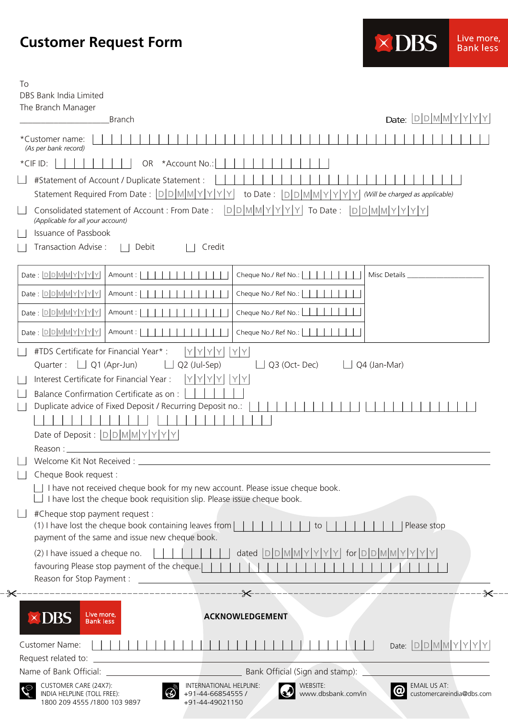## **Customer Request Form**

| To                                                                                                                                                                                                                                                                                                                                                                                                                                                                                                                                                                                                                       |                                                                                   |                                                   |                                                  |
|--------------------------------------------------------------------------------------------------------------------------------------------------------------------------------------------------------------------------------------------------------------------------------------------------------------------------------------------------------------------------------------------------------------------------------------------------------------------------------------------------------------------------------------------------------------------------------------------------------------------------|-----------------------------------------------------------------------------------|---------------------------------------------------|--------------------------------------------------|
| DBS Bank India Limited                                                                                                                                                                                                                                                                                                                                                                                                                                                                                                                                                                                                   |                                                                                   |                                                   |                                                  |
| The Branch Manager<br><b>Branch</b>                                                                                                                                                                                                                                                                                                                                                                                                                                                                                                                                                                                      |                                                                                   |                                                   | Date: <b>DDMMYYYYY</b>                           |
|                                                                                                                                                                                                                                                                                                                                                                                                                                                                                                                                                                                                                          |                                                                                   |                                                   |                                                  |
| *Customer name:<br>(As per bank record)                                                                                                                                                                                                                                                                                                                                                                                                                                                                                                                                                                                  |                                                                                   |                                                   |                                                  |
| *CIF ID:<br><b>OR</b>                                                                                                                                                                                                                                                                                                                                                                                                                                                                                                                                                                                                    | *Account No.:                                                                     |                                                   |                                                  |
| #Statement of Account / Duplicate Statement :                                                                                                                                                                                                                                                                                                                                                                                                                                                                                                                                                                            |                                                                                   |                                                   |                                                  |
| Statement Required From Date:  D D M M Y Y Y Y                                                                                                                                                                                                                                                                                                                                                                                                                                                                                                                                                                           |                                                                                   | to Date:<br>$D$ $D$ $M$ $M$ $Y$                   | $Y$ (Will be charged as applicable)              |
| Consolidated statement of Account : From Date :<br>(Applicable for all your account)<br><b>Issuance of Passbook</b><br>Transaction Advise:<br>    Debit                                                                                                                                                                                                                                                                                                                                                                                                                                                                  | Credit                                                                            | DDMM Y Y <br>To Date:<br>$\vert$ Y $\vert$<br>Y   | $D D  M  M Y Y Y Y$                              |
| Date: $D D M M Y Y Y Y $<br>Amount:                                                                                                                                                                                                                                                                                                                                                                                                                                                                                                                                                                                      |                                                                                   | Cheque No./ Ref No.:                              | Misc Details                                     |
| Date: $D D M M Y Y Y Y $<br>Amount:                                                                                                                                                                                                                                                                                                                                                                                                                                                                                                                                                                                      |                                                                                   | Cheque No./ Ref No.:                              |                                                  |
| Date: $D$ $D$ $M$ $M$ $Y$ $Y$ $Y$<br>Amount:                                                                                                                                                                                                                                                                                                                                                                                                                                                                                                                                                                             |                                                                                   | Cheque No./ Ref No.:                              |                                                  |
|                                                                                                                                                                                                                                                                                                                                                                                                                                                                                                                                                                                                                          |                                                                                   |                                                   |                                                  |
| Date: $D D M M Y Y Y Y $<br>Amount:                                                                                                                                                                                                                                                                                                                                                                                                                                                                                                                                                                                      |                                                                                   | Cheque No./ Ref No.:                              |                                                  |
| Interest Certificate for Financial Year:<br>Balance Confirmation Certificate as on :<br>Duplicate advice of Fixed Deposit / Recurring Deposit no.:<br>Date of Deposit : $D D  M M Y Y Y$<br>Reason:<br>Cheque Book request :<br>I have not received cheque book for my new account. Please issue cheque book.<br>I have lost the cheque book requisition slip. Please issue cheque book.<br>#Cheque stop payment request :<br>(1) I have lost the cheque book containing leaves from<br>payment of the same and issue new cheque book.<br>(2) I have issued a cheque no.<br>favouring Please stop payment of the cheque. | YIYI<br>YIY<br>Y                                                                  | to<br>dated $D[D[M][M]Y]Y Y$ for $D[D[M][M]Y]Y Y$ | Please stop                                      |
|                                                                                                                                                                                                                                                                                                                                                                                                                                                                                                                                                                                                                          |                                                                                   |                                                   |                                                  |
| Live more,<br>$\times$ DBS<br><b>Bank less</b>                                                                                                                                                                                                                                                                                                                                                                                                                                                                                                                                                                           |                                                                                   | <b>ACKNOWLEDGEMENT</b>                            |                                                  |
| Customer Name:                                                                                                                                                                                                                                                                                                                                                                                                                                                                                                                                                                                                           |                                                                                   |                                                   | Date: $D D M M Y Y Y Y$                          |
| Request related to:                                                                                                                                                                                                                                                                                                                                                                                                                                                                                                                                                                                                      | the contract of the contract of the contract of the contract of the contract of   |                                                   |                                                  |
|                                                                                                                                                                                                                                                                                                                                                                                                                                                                                                                                                                                                                          |                                                                                   | Bank Official (Sign and stamp):                   |                                                  |
| CUSTOMER CARE (24X7):<br>INDIA HELPLINE (TOLL FREE):<br>1800 209 4555 /1800 103 9897                                                                                                                                                                                                                                                                                                                                                                                                                                                                                                                                     | INTERNATIONAL HELPLINE:<br>$\circledcirc$<br>+91-44-66854555 /<br>+91-44-49021150 | WEBSITE:<br>www.dbsbank.com/in                    | <b>EMAIL US AT:</b><br>customercareindia@dbs.com |

**×DBS** 

Live more,<br>Bank less